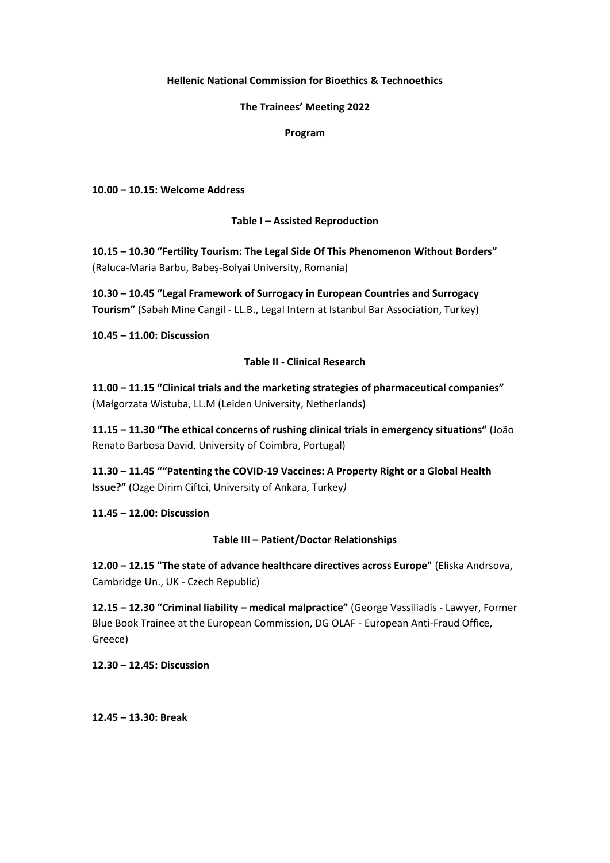## **Hellenic National Commission for Bioethics & Technoethics**

### **The Trainees' Meeting 2022**

### **Program**

**10.00 – 10.15: Welcome Address**

## **Table I – Assisted Reproduction**

**10.15 – 10.30 "Fertility Tourism: The Legal Side Of This Phenomenon Without Borders"**  (Raluca-Maria Barbu, Babeș-Bolyai University, Romania)

**10.30 – 10.45 "Legal Framework of Surrogacy in European Countries and Surrogacy Tourism"** (Sabah Mine Cangil - LL.B., Legal Intern at Istanbul Bar Association, Turkey)

**10.45 – 11.00: Discussion**

# **Table II - Clinical Research**

**11.00 – 11.15 "Clinical trials and the marketing strategies of pharmaceutical companies"** (Małgorzata Wistuba, LL.M (Leiden University, Netherlands)

**11.15 – 11.30 "The ethical concerns of rushing clinical trials in emergency situations"** (João Renato Barbosa David, University of Coimbra, Portugal)

**11.30 – 11.45 ""Patenting the COVID-19 Vaccines: A Property Right or a Global Health Issue?"** (Ozge Dirim Ciftci, University of Ankara, Turkey*)*

**11.45 – 12.00: Discussion**

# **Table III – Patient/Doctor Relationships**

**12.00 – 12.15 "The state of advance healthcare directives across Europe"** (Eliska Andrsova, Cambridge Un., UK - Czech Republic)

**12.15 – 12.30 "Criminal liability – medical malpractice"** (George Vassiliadis - Lawyer, Former Blue Book Trainee at the European Commission, DG OLAF - European Anti-Fraud Office, Greece)

**12.30 – 12.45: Discussion**

**12.45 – 13.30: Break**